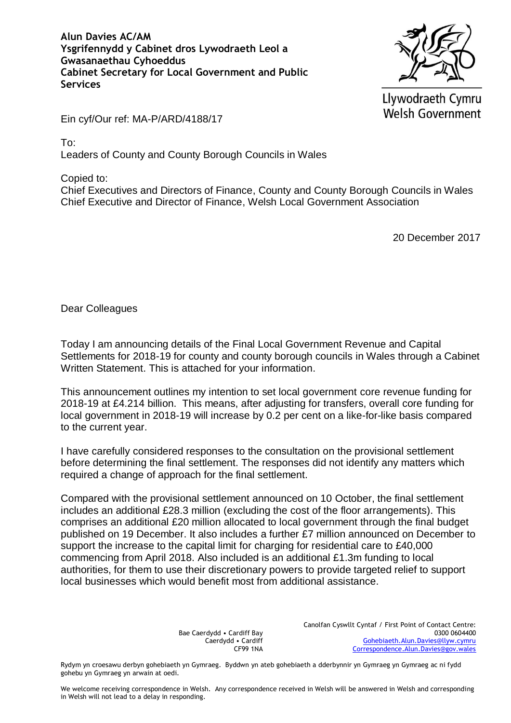**Alun Davies AC/AM Ysgrifennydd y Cabinet dros Lywodraeth Leol a Gwasanaethau Cyhoeddus Cabinet Secretary for Local Government and Public Services**



Llywodraeth Cymru **Welsh Government** 

Ein cyf/Our ref: MA-P/ARD/4188/17

To:

Leaders of County and County Borough Councils in Wales

Copied to:

Chief Executives and Directors of Finance, County and County Borough Councils in Wales Chief Executive and Director of Finance, Welsh Local Government Association

20 December 2017

Dear Colleagues

Today I am announcing details of the Final Local Government Revenue and Capital Settlements for 2018-19 for county and county borough councils in Wales through a Cabinet Written Statement. This is attached for your information.

This announcement outlines my intention to set local government core revenue funding for 2018-19 at £4.214 billion. This means, after adjusting for transfers, overall core funding for local government in 2018-19 will increase by 0.2 per cent on a like-for-like basis compared to the current year.

I have carefully considered responses to the consultation on the provisional settlement before determining the final settlement. The responses did not identify any matters which required a change of approach for the final settlement.

Compared with the provisional settlement announced on 10 October, the final settlement includes an additional £28.3 million (excluding the cost of the floor arrangements). This comprises an additional £20 million allocated to local government through the final budget published on 19 December. It also includes a further £7 million announced on December to support the increase to the capital limit for charging for residential care to £40,000 commencing from April 2018. Also included is an additional £1.3m funding to local authorities, for them to use their discretionary powers to provide targeted relief to support local businesses which would benefit most from additional assistance.

> Bae Caerdydd • Cardiff Bay Caerdydd • Cardiff CF99 1NA

Canolfan Cyswllt Cyntaf / First Point of Contact Centre: 0300 0604400 [Gohebiaeth.Alun.Davies@llyw.cymru](mailto:Gohebiaeth.Alun.Davies@llyw.cymru) [Correspondence.Alun.Davies@gov.wales](mailto:Correspondence.Alun.Davies@gov.wales)

Rydym yn croesawu derbyn gohebiaeth yn Gymraeg. Byddwn yn ateb gohebiaeth a dderbynnir yn Gymraeg yn Gymraeg ac ni fydd gohebu yn Gymraeg yn arwain at oedi.

We welcome receiving correspondence in Welsh. Any correspondence received in Welsh will be answered in Welsh and corresponding in Welsh will not lead to a delay in responding.